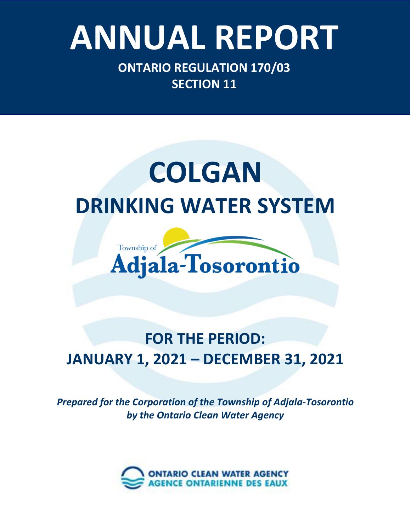# Ontario Clean Water Agency – *Minesing Well Supply System* **ANNUAL REPORT**

**ONTARIO REGULATION 170/03 SECTION 11**

### **COLGAN DRINKING WATER SYSTEM**



### **FOR THE PERIOD: JANUARY 1, 2021 – DECEMBER 31, 2021**

*Prepared for the Corporation of the Township of Adjala-Tosorontio by the Ontario Clean Water Agency*

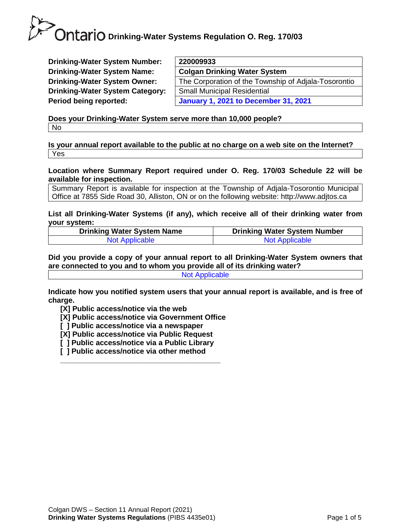**Drinking-Water System Number: Drinking-Water System Name: Drinking-Water System Owner: Drinking-Water System Category: Period being reported:** 

| 220009933                                            |
|------------------------------------------------------|
| <b>Colgan Drinking Water System</b>                  |
| The Corporation of the Township of Adjala-Tosorontio |
| <b>Small Municipal Residential</b>                   |
| <b>January 1, 2021 to December 31, 2021</b>          |
|                                                      |

**Does your Drinking-Water System serve more than 10,000 people?**  No

**Is your annual report available to the public at no charge on a web site on the Internet?**  Yes

**Location where Summary Report required under O. Reg. 170/03 Schedule 22 will be available for inspection.** 

Summary Report is available for inspection at the Township of Adjala-Tosorontio Municipal Office at 7855 Side Road 30, Alliston, ON or on the following website: http://www.adjtos.ca

**List all Drinking-Water Systems (if any), which receive all of their drinking water from your system:**

| <b>Drinking Water System Name</b> | <b>Drinking Water System Number</b> |
|-----------------------------------|-------------------------------------|
| <b>Not Applicable</b>             | <b>Not Applicable</b>               |

**Did you provide a copy of your annual report to all Drinking-Water System owners that are connected to you and to whom you provide all of its drinking water?**  Not Applicable

**Indicate how you notified system users that your annual report is available, and is free of charge.** 

**[X] Public access/notice via the web** 

**[X] Public access/notice via Government Office**

- **[ ] Public access/notice via a newspaper**
- **[X] Public access/notice via Public Request**
- **[ ] Public access/notice via a Public Library**

**\_\_\_\_\_\_\_\_\_\_\_\_\_\_\_\_\_\_\_\_\_\_\_\_\_\_\_\_\_\_\_\_\_\_\_\_\_\_\_**

**[ ] Public access/notice via other method**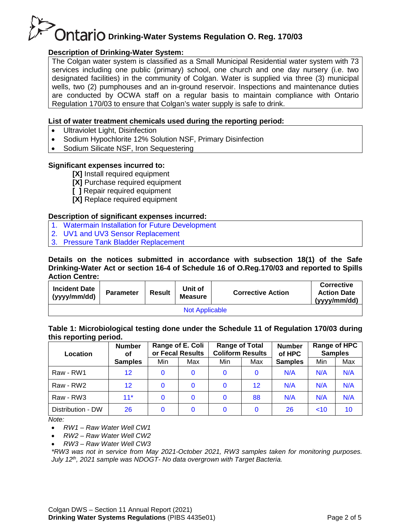#### **Description of Drinking-Water System:**

The Colgan water system is classified as a Small Municipal Residential water system with 73 services including one public (primary) school, one church and one day nursery (i.e. two designated facilities) in the community of Colgan. Water is supplied via three (3) municipal wells, two (2) pumphouses and an in-ground reservoir. Inspections and maintenance duties are conducted by OCWA staff on a regular basis to maintain compliance with Ontario Regulation 170/03 to ensure that Colgan's water supply is safe to drink.

#### **List of water treatment chemicals used during the reporting period:**

- Ultraviolet Light, Disinfection
- Sodium Hypochlorite 12% Solution NSF, Primary Disinfection
- Sodium Silicate NSF, Iron Sequestering

#### **Significant expenses incurred to:**

**[X]** Install required equipment

**[X]** Purchase required equipment

- **[ ]** Repair required equipment
- **[X]** Replace required equipment

#### **Description of significant expenses incurred:**

- 1. Watermain Installation for Future Development
- 2. UV1 and UV3 Sensor Replacement
- 3. Pressure Tank Bladder Replacement

**Details on the notices submitted in accordance with subsection 18(1) of the Safe Drinking-Water Act or section 16-4 of Schedule 16 of O.Reg.170/03 and reported to Spills Action Centre:**

| <b>Incident Date</b><br>(yyyy/mm/dd) | <b>Parameter</b> | <b>Result</b> | Unit of<br><b>Measure</b> | <b>Corrective Action</b> | <b>Corrective</b><br><b>Action Date</b><br>(yyyy/mm/dd) |  |  |  |  |
|--------------------------------------|------------------|---------------|---------------------------|--------------------------|---------------------------------------------------------|--|--|--|--|
| <b>Not Applicable</b>                |                  |               |                           |                          |                                                         |  |  |  |  |

#### **Table 1: Microbiological testing done under the Schedule 11 of Regulation 170/03 during this reporting period.**

| <b>Number</b><br>Location<br>οf |                | Range of E. Coli<br>or Fecal Results |     | <b>Range of Total</b><br><b>Coliform Results</b> |                 | <b>Number</b><br>of HPC |     | Range of HPC<br><b>Samples</b> |  |
|---------------------------------|----------------|--------------------------------------|-----|--------------------------------------------------|-----------------|-------------------------|-----|--------------------------------|--|
|                                 | <b>Samples</b> | Min                                  | Max | Min                                              | Max             | <b>Samples</b>          | Min | Max                            |  |
| Raw - RW1                       | 12             | $\mathbf{0}$                         | 0   |                                                  |                 | N/A                     | N/A | N/A                            |  |
| Raw - RW2                       | 12             | $\mathbf{0}$                         | 0   | $\Omega$                                         | 12 <sup>2</sup> | N/A                     | N/A | N/A                            |  |
| Raw - RW3                       | $11*$          | $\mathbf{0}$                         | 0   | $\Omega$                                         | 88              | N/A                     | N/A | N/A                            |  |
| Distribution - DW               | 26             | $\mathbf{0}$                         |     | $\Omega$                                         |                 | 26                      | ~10 | 10                             |  |

*Note:*

• *RW1 – Raw Water Well CW1*

• *RW2 – Raw Water Well CW2*

• *RW3 – Raw Water Well CW3*

*\*RW3 was not in service from May 2021-October 2021, RW3 samples taken for monitoring purposes. July 12th, 2021 sample was NDOGT- No data overgrown with Target Bacteria.*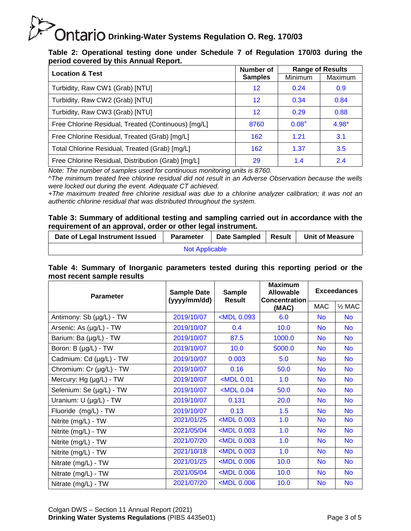#### **Table 2: Operational testing done under Schedule 7 of Regulation 170/03 during the period covered by this Annual Report.**

| <b>Location &amp; Test</b>                          | Number of      | <b>Range of Results</b> |          |
|-----------------------------------------------------|----------------|-------------------------|----------|
|                                                     | <b>Samples</b> | Minimum                 | Maximum  |
| Turbidity, Raw CW1 (Grab) [NTU]                     | $12 \,$        | 0.24                    | 0.9      |
| Turbidity, Raw CW2 (Grab) [NTU]                     | $12 \,$        | 0.34                    | 0.84     |
| Turbidity, Raw CW3 (Grab) [NTU]                     | $12 \,$        | 0.29                    | 0.88     |
| Free Chlorine Residual, Treated (Continuous) [mg/L] | 8760           | $0.08^{\circ}$          | $4.98 +$ |
| Free Chlorine Residual, Treated (Grab) [mg/L]       | 162            | 1.21                    | 3.1      |
| Total Chlorine Residual, Treated (Grab) [mg/L]      | 162            | 1.37                    | 3.5      |
| Free Chlorine Residual, Distribution (Grab) [mg/L]  | 29             | 1.4                     | 2.4      |

*Note: The number of samples used for continuous monitoring units is 8760.*

*^The minimum treated free chlorine residual did not result in an Adverse Observation because the wells were locked out during the event. Adequate CT achieved.*

*+The maximum treated free chlorine residual was due to a chlorine analyzer calibration; it was not an authentic chlorine residual that was distributed throughout the system.*

#### **Table 3: Summary of additional testing and sampling carried out in accordance with the requirement of an approval, order or other legal instrument.**

| Date of Legal Instrument Issued | <b>Parameter</b> | Date Sampled   Result |  | <b>Unit of Measure</b> |  |  |  |
|---------------------------------|------------------|-----------------------|--|------------------------|--|--|--|
| <b>Not Applicable</b>           |                  |                       |  |                        |  |  |  |

| Table 4: Summary of Inorganic parameters tested during this reporting period or the |  |  |  |  |  |
|-------------------------------------------------------------------------------------|--|--|--|--|--|
| most recent sample results                                                          |  |  |  |  |  |

| <b>Parameter</b>         | <b>Sample Date</b><br><b>Sample</b><br><b>Result</b><br>(yyyy/mm/dd) |                                                                              | <b>Maximum</b><br><b>Allowable</b><br><b>Concentration</b> | <b>Exceedances</b> |                   |  |
|--------------------------|----------------------------------------------------------------------|------------------------------------------------------------------------------|------------------------------------------------------------|--------------------|-------------------|--|
|                          |                                                                      |                                                                              | (MAC)                                                      | <b>MAC</b>         | $\frac{1}{2}$ MAC |  |
| Antimony: Sb (µg/L) - TW | 2019/10/07                                                           | <mdl 0.093<="" td=""><td>6.0</td><td><b>No</b></td><td><b>No</b></td></mdl>  | 6.0                                                        | <b>No</b>          | <b>No</b>         |  |
| Arsenic: As (µg/L) - TW  | 2019/10/07                                                           | 0.4                                                                          | 10.0                                                       | <b>No</b>          | N <sub>o</sub>    |  |
| Barium: Ba (µg/L) - TW   | 2019/10/07                                                           | 87.5                                                                         | 1000.0                                                     | <b>No</b>          | <b>No</b>         |  |
| Boron: B (µg/L) - TW     | 2019/10/07                                                           | 10.0                                                                         | 5000.0                                                     | <b>No</b>          | <b>No</b>         |  |
| Cadmium: Cd (µg/L) - TW  | 2019/10/07                                                           | 0.003                                                                        | 5.0                                                        | <b>No</b>          | <b>No</b>         |  |
| Chromium: Cr (µg/L) - TW | 2019/10/07                                                           | 0.16                                                                         | 50.0                                                       | <b>No</b>          | <b>No</b>         |  |
| Mercury: Hg (µg/L) - TW  | 2019/10/07                                                           | $<$ MDL $0.01$                                                               | 1.0                                                        | <b>No</b>          | <b>No</b>         |  |
| Selenium: Se (µg/L) - TW | 2019/10/07                                                           | $<$ MDL 0.04                                                                 | 50.0                                                       | <b>No</b>          | <b>No</b>         |  |
| Uranium: U (µg/L) - TW   | 2019/10/07                                                           | 0.131                                                                        | 20.0                                                       | <b>No</b>          | <b>No</b>         |  |
| Fluoride (mg/L) - TW     | 2019/10/07                                                           | 0.13                                                                         | 1.5                                                        | <b>No</b>          | <b>No</b>         |  |
| Nitrite (mg/L) - TW      | 2021/01/25                                                           | <mdl 0.003<="" td=""><td>1.0</td><td><b>No</b></td><td><b>No</b></td></mdl>  | 1.0                                                        | <b>No</b>          | <b>No</b>         |  |
| Nitrite (mg/L) - TW      | 2021/05/04                                                           | <mdl 0.003<="" td=""><td>1.0</td><td><b>No</b></td><td><b>No</b></td></mdl>  | 1.0                                                        | <b>No</b>          | <b>No</b>         |  |
| Nitrite (mg/L) - TW      | 2021/07/20                                                           | <mdl 0.003<="" td=""><td>1.0</td><td><b>No</b></td><td><b>No</b></td></mdl>  | 1.0                                                        | <b>No</b>          | <b>No</b>         |  |
| Nitrite (mg/L) - TW      | 2021/10/18                                                           | <mdl 0.003<="" td=""><td>1.0</td><td><b>No</b></td><td><b>No</b></td></mdl>  | 1.0                                                        | <b>No</b>          | <b>No</b>         |  |
| Nitrate (mg/L) - TW      | 2021/01/25                                                           | <mdl 0.006<="" td=""><td>10.0</td><td><b>No</b></td><td><b>No</b></td></mdl> | 10.0                                                       | <b>No</b>          | <b>No</b>         |  |
| Nitrate (mg/L) - TW      | 2021/05/04                                                           | <mdl 0.006<="" td=""><td>10.0</td><td><b>No</b></td><td><b>No</b></td></mdl> | 10.0                                                       | <b>No</b>          | <b>No</b>         |  |
| Nitrate (mg/L) - TW      | 2021/07/20                                                           | $<$ MDL 0.006                                                                | 10.0                                                       | <b>No</b>          | <b>No</b>         |  |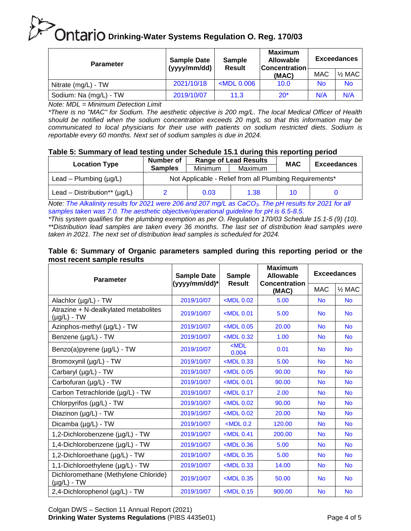| <b>Parameter</b>       | <b>Sample Date</b><br>(yyyy/mm/dd) | Sample<br><b>Result</b> | <b>Maximum</b><br><b>Allowable</b><br><b>Concentration</b> | <b>Exceedances</b> |                          |  |
|------------------------|------------------------------------|-------------------------|------------------------------------------------------------|--------------------|--------------------------|--|
|                        |                                    |                         | (MAC)                                                      | <b>MAC</b>         | $\frac{1}{2}$ MAC $\mid$ |  |
| Nitrate (mg/L) - TW    | 2021/10/18                         | $<$ MDL 0.006           | 10.0                                                       | <b>No</b>          | No.                      |  |
| Sodium: Na (mg/L) - TW | 2019/10/07                         | 11.3                    | $20*$                                                      | N/A                | N/A                      |  |

*Note: MDL = Minimum Detection Limit*

*\*There is no "MAC" for Sodium. The aesthetic objective is 200 mg/L. The local Medical Officer of Health should be notified when the sodium concentration exceeds 20 mg/L so that this information may be communicated to local physicians for their use with patients on sodium restricted diets. Sodium is reportable every 60 months. Next set of sodium samples is due in 2024.*

#### **Table 5: Summary of lead testing under Schedule 15.1 during this reporting period**

|                                    | <b>Number of</b><br><b>Range of Lead Results</b>        |      |      | <b>MAC</b> | <b>Exceedances</b> |  |  |
|------------------------------------|---------------------------------------------------------|------|------|------------|--------------------|--|--|
| <b>Location Type</b>               | <b>Samples</b><br>Maximum<br>Minimum                    |      |      |            |                    |  |  |
| Lead – Plumbing $(\mu g/L)$        | Not Applicable - Relief from all Plumbing Requirements* |      |      |            |                    |  |  |
| Lead – Distribution** ( $\mu$ g/L) |                                                         | 0.03 | 1.38 | 10         |                    |  |  |

*Note: The Alkalinity results for 2021 were 206 and 207 mg/L as CaCO3. The pH results for 2021 for all samples taken was 7.0. The aesthetic objective/operational guideline for pH is 6.5-8.5.*

*\*This system qualifies for the plumbing exemption as per O. Regulation 170/03 Schedule 15.1-5 (9) (10). \*\*Distribution lead samples are taken every 36 months. The last set of distribution lead samples were taken in 2021. The next set of distribution lead samples is scheduled for 2024.*

#### **Table 6: Summary of Organic parameters sampled during this reporting period or the most recent sample results**

| <b>Parameter</b>                                         | <b>Sample Date</b><br>(yyyy/mm/dd)* | <b>Sample</b><br><b>Result</b>                                              | <b>Maximum</b><br><b>Allowable</b><br><b>Concentration</b> | <b>Exceedances</b> |                   |  |
|----------------------------------------------------------|-------------------------------------|-----------------------------------------------------------------------------|------------------------------------------------------------|--------------------|-------------------|--|
|                                                          |                                     |                                                                             | (MAC)                                                      | <b>MAC</b>         | $\frac{1}{2}$ MAC |  |
| Alachlor (µg/L) - TW                                     | 2019/10/07                          | <mdl 0.02<="" td=""><td>5.00</td><td><b>No</b></td><td><b>No</b></td></mdl> | 5.00                                                       | <b>No</b>          | <b>No</b>         |  |
| Atrazine + N-dealkylated metabolites<br>$(\mu g/L)$ - TW | 2019/10/07                          | $<$ MDL $0.01$                                                              | 5.00                                                       | <b>No</b>          | <b>No</b>         |  |
| Azinphos-methyl (µg/L) - TW                              | 2019/10/07                          | $<$ MDL $0.05$                                                              | 20.00                                                      | <b>No</b>          | <b>No</b>         |  |
| Benzene (µg/L) - TW                                      | 2019/10/07                          | <mdl 0.32<="" td=""><td>1.00</td><td><b>No</b></td><td><b>No</b></td></mdl> | 1.00                                                       | <b>No</b>          | <b>No</b>         |  |
| Benzo(a)pyrene (µg/L) - TW                               | 2019/10/07                          | $MDL$<br>0.004                                                              | 0.01                                                       | <b>No</b>          | <b>No</b>         |  |
| Bromoxynil (µg/L) - TW                                   | 2019/10/07                          | <mdl 0.33<="" td=""><td>5.00</td><td><b>No</b></td><td><b>No</b></td></mdl> | 5.00                                                       | <b>No</b>          | <b>No</b>         |  |
| Carbaryl (µg/L) - TW                                     | 2019/10/07                          | $<$ MDL $0.05$                                                              | 90.00                                                      | <b>No</b>          | <b>No</b>         |  |
| Carbofuran (µg/L) - TW                                   | 2019/10/07                          | $<$ MDL 0.01                                                                | 90.00                                                      | <b>No</b>          | <b>No</b>         |  |
| Carbon Tetrachloride (µg/L) - TW                         | 2019/10/07                          | <mdl 0.17<="" td=""><td>2.00</td><td><b>No</b></td><td><b>No</b></td></mdl> | 2.00                                                       | <b>No</b>          | <b>No</b>         |  |
| Chlorpyrifos (µg/L) - TW                                 | 2019/10/07                          | $<$ MDL $0.02$                                                              | 90.00                                                      | <b>No</b>          | <b>No</b>         |  |
| Diazinon (µg/L) - TW                                     | 2019/10/07                          | $<$ MDL $0.02$                                                              | 20.00                                                      | <b>No</b>          | <b>No</b>         |  |
| Dicamba (µg/L) - TW                                      | 2019/10/07                          | $<$ MDL 0.2                                                                 | 120.00                                                     | <b>No</b>          | <b>No</b>         |  |
| 1,2-Dichlorobenzene (µg/L) - TW                          | 2019/10/07                          | $<$ MDL 0.41                                                                | 200.00                                                     | <b>No</b>          | <b>No</b>         |  |
| 1,4-Dichlorobenzene (µg/L) - TW                          | 2019/10/07                          | $<$ MDL 0.36                                                                | 5.00                                                       | <b>No</b>          | <b>No</b>         |  |
| 1,2-Dichloroethane (µg/L) - TW                           | 2019/10/07                          | <mdl 0.35<="" td=""><td>5.00</td><td><b>No</b></td><td><b>No</b></td></mdl> | 5.00                                                       | <b>No</b>          | <b>No</b>         |  |
| 1,1-Dichloroethylene (µg/L) - TW                         | 2019/10/07                          | $<$ MDL 0.33                                                                | 14.00                                                      | <b>No</b>          | <b>No</b>         |  |
| Dichloromethane (Methylene Chloride)<br>$(\mu g/L)$ - TW | 2019/10/07                          | $<$ MDL $0.35$                                                              | 50.00                                                      | <b>No</b>          | <b>No</b>         |  |
| 2,4-Dichlorophenol (µg/L) - TW                           | 2019/10/07                          | $<$ MDL 0.15                                                                | 900.00                                                     | <b>No</b>          | <b>No</b>         |  |